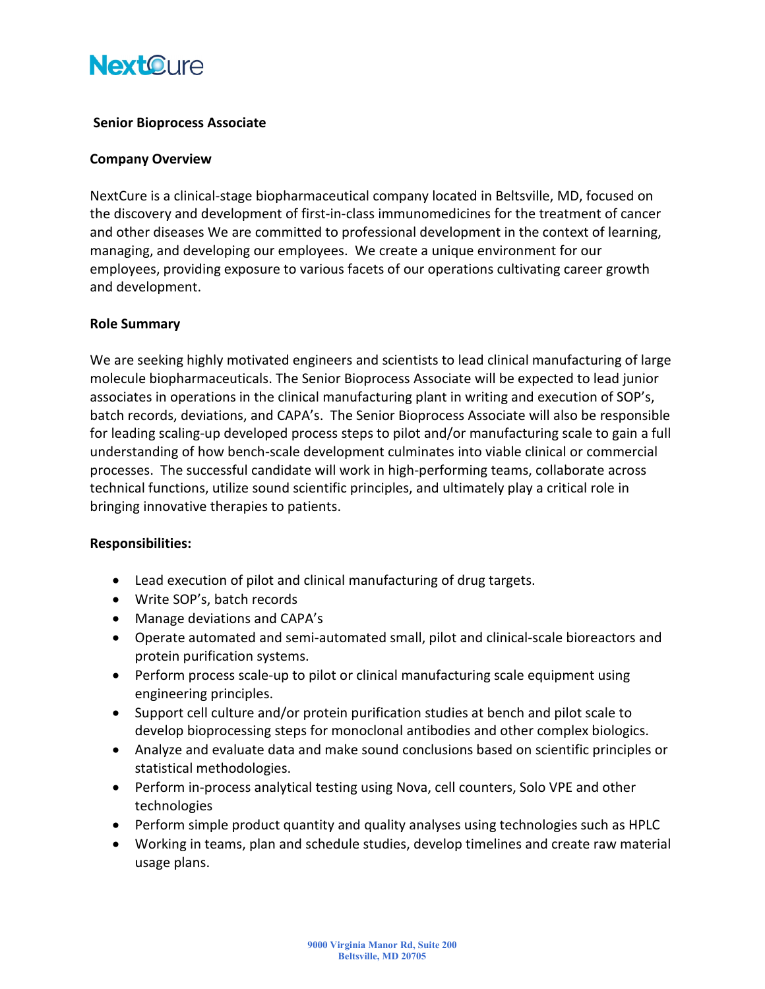# **NextOure**

## **Senior Bioprocess Associate**

### **Company Overview**

NextCure is a clinical-stage biopharmaceutical company located in Beltsville, MD, focused on the discovery and development of first-in-class immunomedicines for the treatment of cancer and other diseases We are committed to professional development in the context of learning, managing, and developing our employees. We create a unique environment for our employees, providing exposure to various facets of our operations cultivating career growth and development.

### **Role Summary**

We are seeking highly motivated engineers and scientists to lead clinical manufacturing of large molecule biopharmaceuticals. The Senior Bioprocess Associate will be expected to lead junior associates in operations in the clinical manufacturing plant in writing and execution of SOP's, batch records, deviations, and CAPA's. The Senior Bioprocess Associate will also be responsible for leading scaling-up developed process steps to pilot and/or manufacturing scale to gain a full understanding of how bench-scale development culminates into viable clinical or commercial processes. The successful candidate will work in high-performing teams, collaborate across technical functions, utilize sound scientific principles, and ultimately play a critical role in bringing innovative therapies to patients.

### **Responsibilities:**

- Lead execution of pilot and clinical manufacturing of drug targets.
- Write SOP's, batch records
- Manage deviations and CAPA's
- Operate automated and semi-automated small, pilot and clinical-scale bioreactors and protein purification systems.
- Perform process scale-up to pilot or clinical manufacturing scale equipment using engineering principles.
- Support cell culture and/or protein purification studies at bench and pilot scale to develop bioprocessing steps for monoclonal antibodies and other complex biologics.
- Analyze and evaluate data and make sound conclusions based on scientific principles or statistical methodologies.
- Perform in-process analytical testing using Nova, cell counters, Solo VPE and other technologies
- Perform simple product quantity and quality analyses using technologies such as HPLC
- Working in teams, plan and schedule studies, develop timelines and create raw material usage plans.